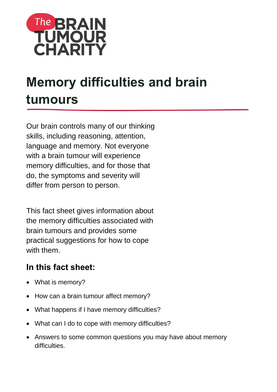

# **Memory difficulties and brain tumours**

Our brain controls many of our thinking skills, including reasoning, attention, language and memory. Not everyone with a brain tumour will experience memory difficulties, and for those that do, the symptoms and severity will differ from person to person.

This fact sheet gives information about the memory difficulties associated with brain tumours and provides some practical suggestions for how to cope with them.

# **In this fact sheet:**

- What is memory?
- How can a brain tumour affect memory?
- What happens if I have memory difficulties?
- What can I do to cope with memory difficulties?
- Answers to some common questions you may have about memory difficulties.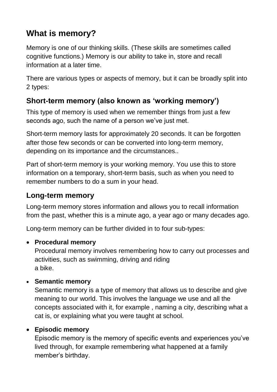# **What is memory?**

Memory is one of our thinking skills. (These skills are sometimes called cognitive functions.) Memory is our ability to take in, store and recall information at a later time.

There are various types or aspects of memory, but it can be broadly split into 2 types:

## **Short-term memory (also known as 'working memory')**

This type of memory is used when we remember things from just a few seconds ago, such the name of a person we've just met.

Short-term memory lasts for approximately 20 seconds. It can be forgotten after those few seconds or can be converted into long-term memory, depending on its importance and the circumstances..

Part of short-term memory is your working memory. You use this to store information on a temporary, short-term basis, such as when you need to remember numbers to do a sum in your head.

## **Long-term memory**

Long-term memory stores information and allows you to recall information from the past, whether this is a minute ago, a year ago or many decades ago.

Long-term memory can be further divided in to four sub-types:

#### **Procedural memory**

Procedural memory involves remembering how to carry out processes and activities, such as swimming, driving and riding a bike.

#### **Semantic memory**

Semantic memory is a type of memory that allows us to describe and give meaning to our world. This involves the language we use and all the concepts associated with it, for example , naming a city, describing what a cat is, or explaining what you were taught at school.

#### **Episodic memory**

Episodic memory is the memory of specific events and experiences you've lived through, for example remembering what happened at a family member's birthday.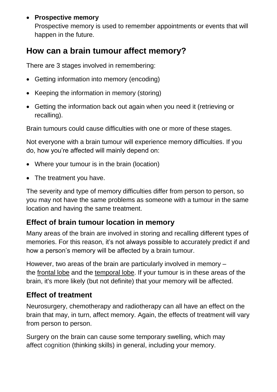#### **Prospective memory**

Prospective memory is used to remember appointments or events that will happen in the future.

## **How can a brain tumour affect memory?**

There are 3 stages involved in remembering:

- Getting information into memory (encoding)
- Keeping the information in memory (storing)
- Getting the information back out again when you need it (retrieving or recalling).

Brain tumours could cause difficulties with one or more of these stages.

Not everyone with a brain tumour will experience memory difficulties. If you do, how you're affected will mainly depend on:

- Where your tumour is in the brain (location)
- The treatment you have.

The severity and type of memory difficulties differ from person to person, so you may not have the same problems as someone with a tumour in the same location and having the same treatment.

## **Effect of brain tumour location in memory**

Many areas of the brain are involved in storing and recalling different types of memories. For this reason, it's not always possible to accurately predict if and how a person's memory will be affected by a brain tumour.

However, two areas of the brain are particularly involved in memory – the [frontal lobe](https://www.thebraintumourcharity.org/understanding-brain-tumours/resources/jargon-buster/?letter=F#frontal-lobe) and the [temporal lobe.](https://www.thebraintumourcharity.org/understanding-brain-tumours/resources/jargon-buster/?letter=T#temporal-lobe) If your tumour is in these areas of the brain, it's more likely (but not definite) that your memory will be affected.

## **Effect of treatment**

Neurosurgery, chemotherapy and radiotherapy can all have an effect on the brain that may, in turn, affect memory. Again, the effects of treatment will vary from person to person.

Surgery on the brain can cause some temporary swelling, which may affect [cognition](https://www.thebraintumourcharity.org/understanding-brain-tumours/resources/jargon-buster/?letter=C#cognition) (thinking skills) in general, including your memory.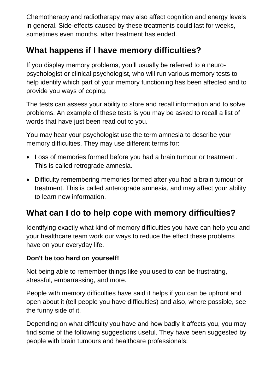Chemotherapy and radiotherapy may also affect [cognition](https://www.thebraintumourcharity.org/understanding-brain-tumours/resources/jargon-buster/?letter=C#cognition) and energy levels in general. Side-effects caused by these treatments could last for weeks, sometimes even months, after treatment has ended.

# **What happens if I have memory difficulties?**

If you display memory problems, you'll usually be referred to a neuropsychologist or clinical psychologist, who will run various memory tests to help identify which part of your memory functioning has been affected and to provide you ways of coping.

The tests can assess your ability to store and recall information and to solve problems. An example of these tests is you may be asked to recall a list of words that have just been read out to you.

You may hear your psychologist use the term amnesia to describe your memory difficulties. They may use different terms for:

- Loss of memories formed before you had a brain tumour or treatment . This is called retrograde amnesia.
- Difficulty remembering memories formed after you had a brain tumour or treatment. This is called anterograde amnesia, and may affect your ability to learn new information.

# **What can I do to help cope with memory difficulties?**

Identifying exactly what kind of memory difficulties you have can help you and your healthcare team work our ways to reduce the effect these problems have on your everyday life.

#### **Don't be too hard on yourself!**

Not being able to remember things like you used to can be frustrating, stressful, embarrassing, and more.

People with memory difficulties have said it helps if you can be upfront and open about it (tell people you have difficulties) and also, where possible, see the funny side of it.

Depending on what difficulty you have and how badly it affects you, you may find some of the following suggestions useful. They have been suggested by people with brain tumours and healthcare professionals: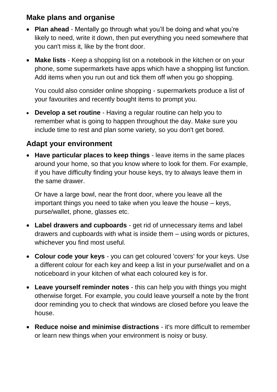#### **Make plans and organise**

- **Plan ahead** Mentally go through what you'll be doing and what you're likely to need, write it down, then put everything you need somewhere that you can't miss it, like by the front door.
- **Make lists** Keep a shopping list on a notebook in the kitchen or on your phone, some supermarkets have apps which have a shopping list function. Add items when you run out and tick them off when you go shopping.

You could also consider online shopping - supermarkets produce a list of your favourites and recently bought items to prompt you.

 **Develop a set routine** - Having a regular routine can help you to remember what is going to happen throughout the day. Make sure you include time to rest and plan some variety, so you don't get bored.

## **Adapt your environment**

 **Have particular places to keep things** - leave items in the same places around your home, so that you know where to look for them. For example, if you have difficulty finding your house keys, try to always leave them in the same drawer.

Or have a large bowl, near the front door, where you leave all the important things you need to take when you leave the house – keys, purse/wallet, phone, glasses etc.

- **Label drawers and cupboards** get rid of unnecessary items and label drawers and cupboards with what is inside them – using words or pictures, whichever you find most useful.
- **Colour code your keys** you can get coloured 'covers' for your keys. Use a different colour for each key and keep a list in your purse/wallet and on a noticeboard in your kitchen of what each coloured key is for.
- **Leave yourself reminder notes** this can help you with things you might otherwise forget. For example, you could leave yourself a note by the front door reminding you to check that windows are closed before you leave the house.
- **Reduce noise and minimise distractions** it's more difficult to remember or learn new things when your environment is noisy or busy.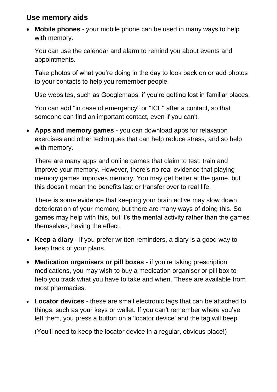#### **Use memory aids**

 **Mobile phones** - your mobile phone can be used in many ways to help with memory.

You can use the calendar and alarm to remind you about events and appointments.

Take photos of what you're doing in the day to look back on or add photos to your contacts to help you remember people.

Use websites, such as Googlemaps, if you're getting lost in familiar places.

You can add "in case of emergency" or "ICE" after a contact, so that someone can find an important contact, even if you can't.

 **Apps and memory games** - you can download apps for relaxation exercises and other techniques that can help reduce stress, and so help with memory.

There are many apps and online games that claim to test, train and improve your memory. However, there's no real evidence that playing memory games improves memory. You may get better at the game, but this doesn't mean the benefits last or transfer over to real life.

There is some evidence that keeping your brain active may slow down deterioration of your memory, but there are many ways of doing this. So games may help with this, but it's the mental activity rather than the games themselves, having the effect.

- **Keep a diary** if you prefer written reminders, a diary is a good way to keep track of your plans.
- **Medication organisers or pill boxes** if you're taking prescription medications, you may wish to buy a medication organiser or pill box to help you track what you have to take and when. These are available from most pharmacies.
- **Locator devices** these are small electronic tags that can be attached to things, such as your keys or wallet. If you can't remember where you've left them, you press a button on a 'locator device' and the tag will beep.

(You'll need to keep the locator device in a regular, obvious place!)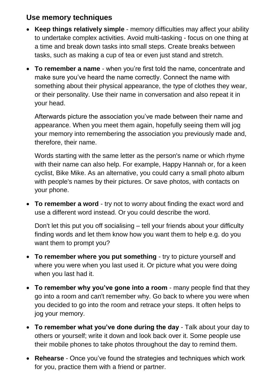#### **Use memory techniques**

- **Keep things relatively simple** memory difficulties may affect your ability to undertake complex activities. Avoid multi-tasking - focus on one thing at a time and break down tasks into small steps. Create breaks between tasks, such as making a cup of tea or even just stand and stretch.
- **To remember a name** when you're first told the name, concentrate and make sure you've heard the name correctly. Connect the name with something about their physical appearance, the type of clothes they wear, or their personality. Use their name in conversation and also repeat it in your head.

Afterwards picture the association you've made between their name and appearance. When you meet them again, hopefully seeing them will jog your memory into remembering the association you previously made and, therefore, their name.

Words starting with the same letter as the person's name or which rhyme with their name can also help. For example, Happy Hannah or, for a keen cyclist, Bike Mike. As an alternative, you could carry a small photo album with people's names by their pictures. Or save photos, with contacts on your phone.

 **To remember a word** - try not to worry about finding the exact word and use a different word instead. Or you could describe the word.

Don't let this put you off socialising – tell your friends about your difficulty finding words and let them know how you want them to help e.g. do you want them to prompt you?

- **To remember where you put something** try to picture yourself and where you were when you last used it. Or picture what you were doing when you last had it.
- **To remember why you've gone into a room** many people find that they go into a room and can't remember why. Go back to where you were when you decided to go into the room and retrace your steps. It often helps to jog your memory.
- **To remember what you've done during the day** Talk about your day to others or yourself; write it down and look back over it. Some people use their mobile phones to take photos throughout the day to remind them.
- **Rehearse** Once you've found the strategies and techniques which work for you, practice them with a friend or partner.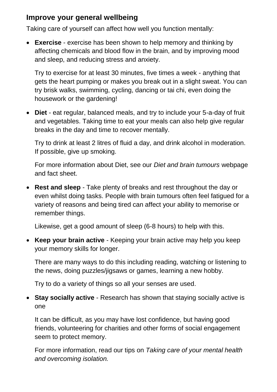#### **Improve your general wellbeing**

Taking care of yourself can affect how well you function mentally:

 **Exercise** - exercise has been shown to help memory and thinking by affecting chemicals and blood flow in the brain, and by improving mood and sleep, and reducing stress and anxiety.

Try to exercise for at least 30 minutes, five times a week - anything that gets the heart pumping or makes you break out in a slight sweat. You can try brisk walks, swimming, cycling, dancing or tai chi, even doing the housework or the gardening!

 **Diet** - eat regular, balanced meals, and try to include your 5-a-day of fruit and vegetables. Taking time to eat your meals can also help give regular breaks in the day and time to recover mentally.

Try to drink at least 2 litres of fluid a day, and drink alcohol in moderation. If possible, give up smoking.

For more information about Diet, see our *[Diet and brain tumours](https://www.thebraintumourcharity.org/understanding-brain-tumours/living-with-a-brain-tumour/diet-nutrition/)* webpage and fact sheet.

 **Rest and sleep** - Take plenty of breaks and rest throughout the day or even whilst doing tasks. People with brain tumours often feel fatigued for a variety of reasons and being tired can affect your ability to memorise or remember things.

Likewise, get a good amount of sleep (6-8 hours) to help with this.

 **Keep your brain active** - Keeping your brain active may help you keep your memory skills for longer.

There are many ways to do this including reading, watching or listening to the news, doing puzzles/jigsaws or games, learning a new hobby.

Try to do a variety of things so all your senses are used.

 **Stay socially active** - Research has shown that staying socially active is one

It can be difficult, as you may have lost confidence, but having good friends, volunteering for charities and other forms of social engagement seem to protect memory.

For more information, read our tips on *[Taking care of your mental health](https://www.thebraintumourcharity.org/get-support/taking-care-your-mental-health/)  [and overcoming isolation.](https://www.thebraintumourcharity.org/get-support/taking-care-your-mental-health/)*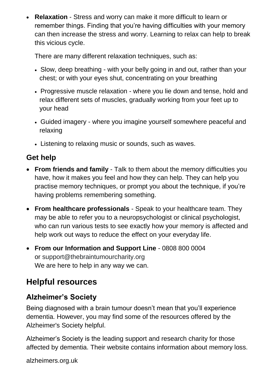**Relaxation** - Stress and worry can make it more difficult to learn or remember things. Finding that you're having difficulties with your memory can then increase the stress and worry. Learning to relax can help to break this vicious cycle.

There are many different relaxation techniques, such as:

- Slow, deep breathing with your belly going in and out, rather than your chest; or with your eyes shut, concentrating on your breathing
- Progressive muscle relaxation where you lie down and tense, hold and relax different sets of muscles, gradually working from your feet up to your head
- Guided imagery where you imagine yourself somewhere peaceful and relaxing
- Listening to relaxing music or sounds, such as waves.

## **Get help**

- **From friends and family** Talk to them about the memory difficulties you have, how it makes you feel and how they can help. They can help you practise memory techniques, or prompt you about the technique, if you're having problems remembering something.
- **From healthcare professionals** Speak to your healthcare team. They may be able to refer you to a neuropsychologist or clinical psychologist, who can run various tests to see exactly how your memory is affected and help work out ways to reduce the effect on your everyday life.
- **From our Information and Support Line** 0808 800 0004 or [support@thebraintumourcharity.org](mailto:support@thebraintumourcharity.org) We are here to help in any way we can.

# **Helpful resources**

## **Alzheimer's Society**

Being diagnosed with a brain tumour doesn't mean that you'll experience dementia. However, you may find some of the resources offered by the Alzheimer's Society helpful.

Alzheimer's Society is the leading support and research charity for those affected by dementia. Their website contains information about memory loss.

alzheimers.org.uk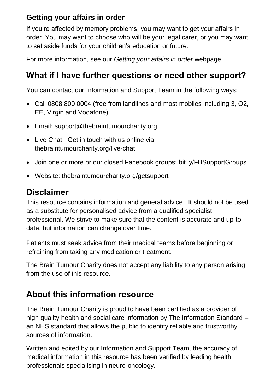## **Getting your affairs in order**

If you're affected by memory problems, you may want to get your affairs in order. You may want to choose who will be your legal carer, or you may want to set aside funds for your children's education or future.

For more information, see our *[Getting your affairs in order](https://www.thebraintumourcharity.org/understanding-brain-tumours/living-with-a-brain-tumour/getting-your-affairs-order/)* webpage.

# **What if I have further questions or need other support?**

You can contact our Information and Support Team in the following ways:

- Call 0808 800 0004 (free from landlines and most mobiles including 3, O2, EE, Virgin and Vodafone)
- Email: [support@thebraintumourcharity.org](mailto:support@thebraintumourcharity.org)
- Live Chat: Get in touch with us online via thebraintumourcharity.org/live-chat
- Join one or more or our closed Facebook groups: [bit.ly/FBSupportGroups](https://www.thebraintumourcharity.org/get-support/online-support/facebook-support-groups/)
- Website: thebraintumourcharity.org/getsupport

## **Disclaimer**

This resource contains information and general advice. It should not be used as a substitute for personalised advice from a qualified specialist professional. We strive to make sure that the content is accurate and up-todate, but information can change over time.

Patients must seek advice from their medical teams before beginning or refraining from taking any medication or treatment.

The Brain Tumour Charity does not accept any liability to any person arising from the use of this resource.

# **About this information resource**

The Brain Tumour Charity is proud to have been certified as a provider of high quality health and social care information by The Information Standard – an NHS standard that allows the public to identify reliable and trustworthy sources of information.

Written and edited by our Information and Support Team, the accuracy of medical information in this resource has been verified by leading health professionals specialising in neuro-oncology.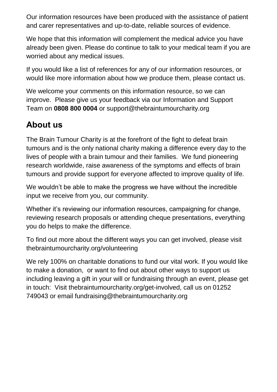Our information resources have been produced with the assistance of patient and carer representatives and up-to-date, reliable sources of evidence.

We hope that this information will complement the medical advice you have already been given. Please do continue to talk to your medical team if you are worried about any medical issues.

If you would like a list of references for any of our information resources, or would like more information about how we produce them, please contact us.

We welcome your comments on this information resource, so we can improve. Please give us your feedback via our Information and Support Team on **0808 800 0004** or [support@thebraintumourcharity.org](mailto:support@thebraintumourcharity.org)

# **About us**

The Brain Tumour Charity is at the forefront of the fight to defeat brain tumours and is the only national charity making a difference every day to the lives of people with a brain tumour and their families. We fund pioneering research worldwide, raise awareness of the symptoms and effects of brain tumours and provide support for everyone affected to improve quality of life.

We wouldn't be able to make the progress we have without the incredible input we receive from you, our community.

Whether it's reviewing our information resources, campaigning for change, reviewing research proposals or attending cheque presentations, everything you do helps to make the difference.

To find out more about the different ways you can get involved, please visit [thebraintumourcharity.org/volunteering](https://www.thebraintumourcharity.org/get-involved/volunteering/)

We rely 100% on charitable donations to fund our vital work. If you would like to make a donation, or want to find out about other ways to support us including leaving a gift in your will or fundraising through an event, please get in touch: Visit [thebraintumourcharity.org/get-involved,](https://www.thebraintumourcharity.org/get-involved/) call us on 01252 749043 or email<fundraising@thebraintumourcharity.org>